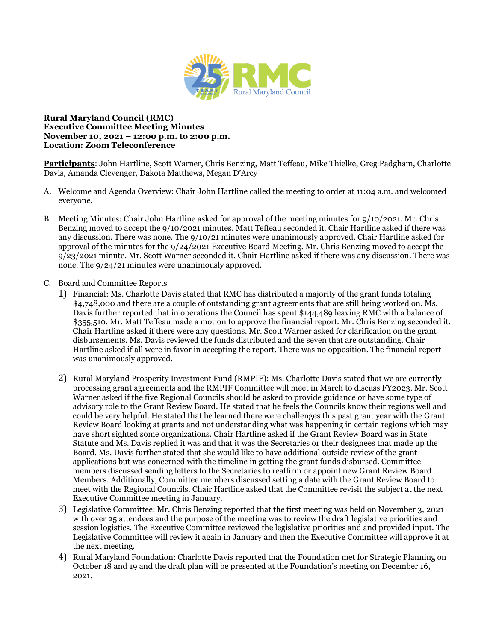

## **Rural Maryland Council (RMC) Executive Committee Meeting Minutes November 10, 2021 – 12:00 p.m. to 2:00 p.m. Location: Zoom Teleconference**

**Participants**: John Hartline, Scott Warner, Chris Benzing, Matt Teffeau, Mike Thielke, Greg Padgham, Charlotte Davis, Amanda Clevenger, Dakota Matthews, Megan D'Arcy

- A. Welcome and Agenda Overview: Chair John Hartline called the meeting to order at 11:04 a.m. and welcomed everyone.
- B. Meeting Minutes: Chair John Hartline asked for approval of the meeting minutes for 9/10/2021. Mr. Chris Benzing moved to accept the 9/10/2021 minutes. Matt Teffeau seconded it. Chair Hartline asked if there was any discussion. There was none. The 9/10/21 minutes were unanimously approved. Chair Hartline asked for approval of the minutes for the 9/24/2021 Executive Board Meeting. Mr. Chris Benzing moved to accept the 9/23/2021 minute. Mr. Scott Warner seconded it. Chair Hartline asked if there was any discussion. There was none. The 9/24/21 minutes were unanimously approved.
- C. Board and Committee Reports
	- 1) Financial: Ms. Charlotte Davis stated that RMC has distributed a majority of the grant funds totaling \$4,748,000 and there are a couple of outstanding grant agreements that are still being worked on. Ms. Davis further reported that in operations the Council has spent \$144,489 leaving RMC with a balance of \$355,510. Mr. Matt Teffeau made a motion to approve the financial report. Mr. Chris Benzing seconded it. Chair Hartline asked if there were any questions. Mr. Scott Warner asked for clarification on the grant disbursements. Ms. Davis reviewed the funds distributed and the seven that are outstanding. Chair Hartline asked if all were in favor in accepting the report. There was no opposition. The financial report was unanimously approved.
	- 2) Rural Maryland Prosperity Investment Fund (RMPIF): Ms. Charlotte Davis stated that we are currently processing grant agreements and the RMPIF Committee will meet in March to discuss FY2023. Mr. Scott Warner asked if the five Regional Councils should be asked to provide guidance or have some type of advisory role to the Grant Review Board. He stated that he feels the Councils know their regions well and could be very helpful. He stated that he learned there were challenges this past grant year with the Grant Review Board looking at grants and not understanding what was happening in certain regions which may have short sighted some organizations. Chair Hartline asked if the Grant Review Board was in State Statute and Ms. Davis replied it was and that it was the Secretaries or their designees that made up the Board. Ms. Davis further stated that she would like to have additional outside review of the grant applications but was concerned with the timeline in getting the grant funds disbursed. Committee members discussed sending letters to the Secretaries to reaffirm or appoint new Grant Review Board Members. Additionally, Committee members discussed setting a date with the Grant Review Board to meet with the Regional Councils. Chair Hartline asked that the Committee revisit the subject at the next Executive Committee meeting in January.
	- 3) Legislative Committee: Mr. Chris Benzing reported that the first meeting was held on November 3, 2021 with over 25 attendees and the purpose of the meeting was to review the draft legislative priorities and session logistics. The Executive Committee reviewed the legislative priorities and and provided input. The Legislative Committee will review it again in January and then the Executive Committee will approve it at the next meeting.
	- 4) Rural Maryland Foundation: Charlotte Davis reported that the Foundation met for Strategic Planning on October 18 and 19 and the draft plan will be presented at the Foundation's meeting 0n December 16, 2021.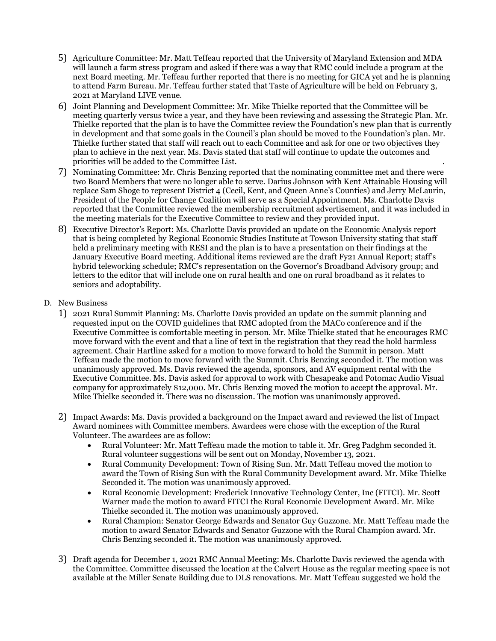- 5) Agriculture Committee: Mr. Matt Teffeau reported that the University of Maryland Extension and MDA will launch a farm stress program and asked if there was a way that RMC could include a program at the next Board meeting. Mr. Teffeau further reported that there is no meeting for GICA yet and he is planning to attend Farm Bureau. Mr. Teffeau further stated that Taste of Agriculture will be held on February 3, 2021 at Maryland LIVE venue.
- 6) Joint Planning and Development Committee: Mr. Mike Thielke reported that the Committee will be meeting quarterly versus twice a year, and they have been reviewing and assessing the Strategic Plan. Mr. Thielke reported that the plan is to have the Committee review the Foundation's new plan that is currently in development and that some goals in the Council's plan should be moved to the Foundation's plan. Mr. Thielke further stated that staff will reach out to each Committee and ask for one or two objectives they plan to achieve in the next year. Ms. Davis stated that staff will continue to update the outcomes and priorities will be added to the Committee List. .
- 7) Nominating Committee: Mr. Chris Benzing reported that the nominating committee met and there were two Board Members that were no longer able to serve. Darius Johnson with Kent Attainable Housing will replace Sam Shoge to represent District 4 (Cecil, Kent, and Queen Anne's Counties) and Jerry McLaurin, President of the People for Change Coalition will serve as a Special Appointment. Ms. Charlotte Davis reported that the Committee reviewed the membership recruitment advertisement, and it was included in the meeting materials for the Executive Committee to review and they provided input.
- 8) Executive Director's Report: Ms. Charlotte Davis provided an update on the Economic Analysis report that is being completed by Regional Economic Studies Institute at Towson University stating that staff held a preliminary meeting with RESI and the plan is to have a presentation on their findings at the January Executive Board meeting. Additional items reviewed are the draft Fy21 Annual Report; staff's hybrid teleworking schedule; RMC's representation on the Governor's Broadband Advisory group; and letters to the editor that will include one on rural health and one on rural broadband as it relates to seniors and adoptability.
- D. New Business
	- 1) 2021 Rural Summit Planning: Ms. Charlotte Davis provided an update on the summit planning and requested input on the COVID guidelines that RMC adopted from the MACo conference and if the Executive Committee is comfortable meeting in person. Mr. Mike Thielke stated that he encourages RMC move forward with the event and that a line of text in the registration that they read the hold harmless agreement. Chair Hartline asked for a motion to move forward to hold the Summit in person. Matt Teffeau made the motion to move forward with the Summit. Chris Benzing seconded it. The motion was unanimously approved. Ms. Davis reviewed the agenda, sponsors, and AV equipment rental with the Executive Committee. Ms. Davis asked for approval to work with Chesapeake and Potomac Audio Visual company for approximately \$12,000. Mr. Chris Benzing moved the motion to accept the approval. Mr. Mike Thielke seconded it. There was no discussion. The motion was unanimously approved.
	- 2) Impact Awards: Ms. Davis provided a background on the Impact award and reviewed the list of Impact Award nominees with Committee members. Awardees were chose with the exception of the Rural Volunteer. The awardees are as follow:
		- Rural Volunteer: Mr. Matt Teffeau made the motion to table it. Mr. Greg Padghm seconded it. Rural volunteer suggestions will be sent out on Monday, November 13, 2021.
		- Rural Community Development: Town of Rising Sun. Mr. Matt Teffeau moved the motion to award the Town of Rising Sun with the Rural Community Development award. Mr. Mike Thielke Seconded it. The motion was unanimously approved.
		- Rural Economic Development: Frederick Innovative Technology Center, Inc (FITCI). Mr. Scott Warner made the motion to award FITCI the Rural Economic Development Award. Mr. Mike Thielke seconded it. The motion was unanimously approved.
		- Rural Champion: Senator George Edwards and Senator Guy Guzzone. Mr. Matt Teffeau made the motion to award Senator Edwards and Senator Guzzone with the Rural Champion award. Mr. Chris Benzing seconded it. The motion was unanimously approved.
	- 3) Draft agenda for December 1, 2021 RMC Annual Meeting: Ms. Charlotte Davis reviewed the agenda with the Committee. Committee discussed the location at the Calvert House as the regular meeting space is not available at the Miller Senate Building due to DLS renovations. Mr. Matt Teffeau suggested we hold the